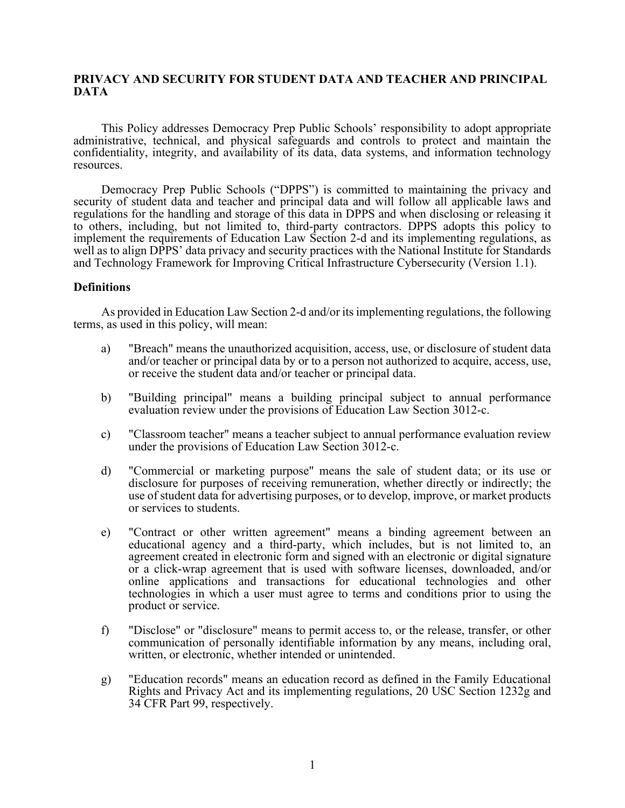# **PRIVACY AND SECURITY FOR STUDENT DATA AND TEACHER AND PRINCIPAL DATA**

This Policy addresses Democracy Prep Public Schools' responsibility to adopt appropriate administrative, technical, and physical safeguards and controls to protect and maintain the confidentiality, integrity, and availability of its data, data systems, and information technology resources.

Democracy Prep Public Schools ("DPPS") is committed to maintaining the privacy and security of student data and teacher and principal data and will follow all applicable laws and regulations for the handling and storage of this data in DPPS and when disclosing or releasing it to others, including, but not limited to, third-party contractors. DPPS adopts this policy to implement the requirements of Education Law Section 2-d and its implementing regulations, as well as to align DPPS' data privacy and security practices with the National Institute for Standards and Technology Framework for Improving Critical Infrastructure Cybersecurity (Version 1.1).

## **Definitions**

As provided in Education Law Section 2-d and/or its implementing regulations, the following terms, as used in this policy, will mean:

- a) "Breach" means the unauthorized acquisition, access, use, or disclosure of student data and/or teacher or principal data by or to a person not authorized to acquire, access, use, or receive the student data and/or teacher or principal data.
- b) "Building principal" means a building principal subject to annual performance evaluation review under the provisions of Education Law Section 3012-c.
- c) "Classroom teacher" means a teacher subject to annual performance evaluation review under the provisions of Education Law Section 3012-c.
- d) "Commercial or marketing purpose" means the sale of student data; or its use or disclosure for purposes of receiving remuneration, whether directly or indirectly; the use of student data for advertising purposes, or to develop, improve, or market products or services to students.
- e) "Contract or other written agreement" means a binding agreement between an educational agency and a third-party, which includes, but is not limited to, an agreement created in electronic form and signed with an electronic or digital signature or a click-wrap agreement that is used with software licenses, downloaded, and/or online applications and transactions for educational technologies and other technologies in which a user must agree to terms and conditions prior to using the product or service.
- f) "Disclose" or "disclosure" means to permit access to, or the release, transfer, or other communication of personally identifiable information by any means, including oral, written, or electronic, whether intended or unintended.
- g) "Education records" means an education record as defined in the Family Educational Rights and Privacy Act and its implementing regulations, 20 USC Section 1232g and 34 CFR Part 99, respectively.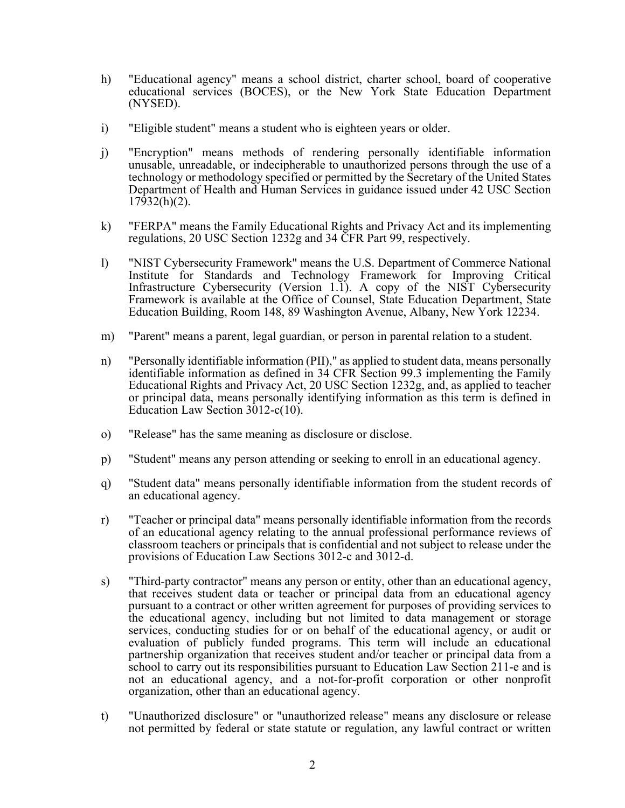- h) "Educational agency" means a school district, charter school, board of cooperative educational services (BOCES), or the New York State Education Department (NYSED).
- i) "Eligible student" means a student who is eighteen years or older.
- j) "Encryption" means methods of rendering personally identifiable information unusable, unreadable, or indecipherable to unauthorized persons through the use of a technology or methodology specified or permitted by the Secretary of the United States Department of Health and Human Services in guidance issued under 42 USC Section 17932(h)(2).
- k) "FERPA" means the Family Educational Rights and Privacy Act and its implementing regulations, 20 USC Section 1232g and 34 CFR Part 99, respectively.
- l) "NIST Cybersecurity Framework" means the U.S. Department of Commerce National Institute for Standards and Technology Framework for Improving Critical Infrastructure Cybersecurity (Version 1.1). A copy of the NIST Cybersecurity Framework is available at the Office of Counsel, State Education Department, State Education Building, Room 148, 89 Washington Avenue, Albany, New York 12234.
- m) "Parent" means a parent, legal guardian, or person in parental relation to a student.
- n) "Personally identifiable information (PII)," as applied to student data, means personally identifiable information as defined in 34 CFR Section 99.3 implementing the Family Educational Rights and Privacy Act, 20 USC Section 1232g, and, as applied to teacher or principal data, means personally identifying information as this term is defined in Education Law Section 3012-c(10).
- o) "Release" has the same meaning as disclosure or disclose.
- p) "Student" means any person attending or seeking to enroll in an educational agency.
- q) "Student data" means personally identifiable information from the student records of an educational agency.
- r) "Teacher or principal data" means personally identifiable information from the records of an educational agency relating to the annual professional performance reviews of classroom teachers or principals that is confidential and not subject to release under the provisions of Education Law Sections 3012-c and 3012-d.
- s) "Third-party contractor" means any person or entity, other than an educational agency, that receives student data or teacher or principal data from an educational agency pursuant to a contract or other written agreement for purposes of providing services to the educational agency, including but not limited to data management or storage services, conducting studies for or on behalf of the educational agency, or audit or evaluation of publicly funded programs. This term will include an educational partnership organization that receives student and/or teacher or principal data from a school to carry out its responsibilities pursuant to Education Law Section 211-e and is not an educational agency, and a not-for-profit corporation or other nonprofit organization, other than an educational agency.
- t) "Unauthorized disclosure" or "unauthorized release" means any disclosure or release not permitted by federal or state statute or regulation, any lawful contract or written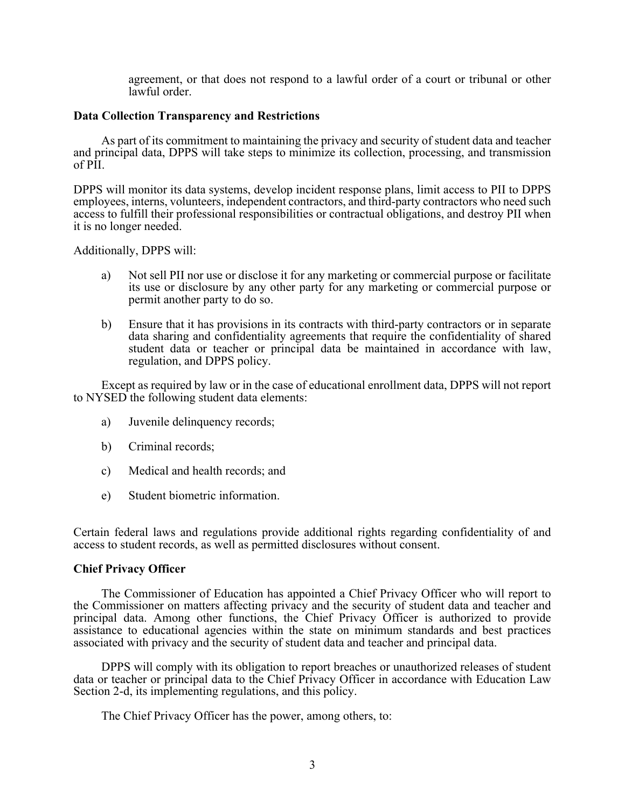agreement, or that does not respond to a lawful order of a court or tribunal or other lawful order.

## **Data Collection Transparency and Restrictions**

As part of its commitment to maintaining the privacy and security of student data and teacher and principal data, DPPS will take steps to minimize its collection, processing, and transmission of PII.

DPPS will monitor its data systems, develop incident response plans, limit access to PII to DPPS employees, interns, volunteers, independent contractors, and third-party contractors who need such access to fulfill their professional responsibilities or contractual obligations, and destroy PII when it is no longer needed.

Additionally, DPPS will:

- a) Not sell PII nor use or disclose it for any marketing or commercial purpose or facilitate its use or disclosure by any other party for any marketing or commercial purpose or permit another party to do so.
- b) Ensure that it has provisions in its contracts with third-party contractors or in separate data sharing and confidentiality agreements that require the confidentiality of shared student data or teacher or principal data be maintained in accordance with law, regulation, and DPPS policy.

Except as required by law or in the case of educational enrollment data, DPPS will not report to NYSED the following student data elements:

- a) Juvenile delinquency records;
- b) Criminal records;
- c) Medical and health records; and
- e) Student biometric information.

Certain federal laws and regulations provide additional rights regarding confidentiality of and access to student records, as well as permitted disclosures without consent.

# **Chief Privacy Officer**

The Commissioner of Education has appointed a Chief Privacy Officer who will report to the Commissioner on matters affecting privacy and the security of student data and teacher and principal data. Among other functions, the Chief Privacy Officer is authorized to provide assistance to educational agencies within the state on minimum standards and best practices associated with privacy and the security of student data and teacher and principal data.

DPPS will comply with its obligation to report breaches or unauthorized releases of student data or teacher or principal data to the Chief Privacy Officer in accordance with Education Law Section 2-d, its implementing regulations, and this policy.

The Chief Privacy Officer has the power, among others, to: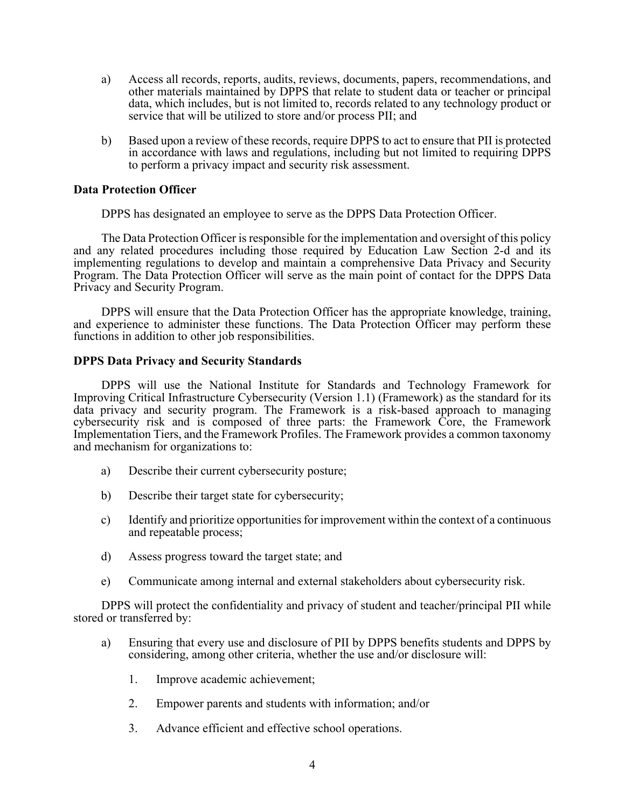- a) Access all records, reports, audits, reviews, documents, papers, recommendations, and other materials maintained by DPPS that relate to student data or teacher or principal data, which includes, but is not limited to, records related to any technology product or service that will be utilized to store and/or process PII; and
- b) Based upon a review of these records, require DPPS to act to ensure that PII is protected in accordance with laws and regulations, including but not limited to requiring DPPS to perform a privacy impact and security risk assessment.

# **Data Protection Officer**

DPPS has designated an employee to serve as the DPPS Data Protection Officer.

The Data Protection Officer is responsible for the implementation and oversight of this policy and any related procedures including those required by Education Law Section 2-d and its implementing regulations to develop and maintain a comprehensive Data Privacy and Security Program. The Data Protection Officer will serve as the main point of contact for the DPPS Data Privacy and Security Program.

DPPS will ensure that the Data Protection Officer has the appropriate knowledge, training, and experience to administer these functions. The Data Protection Officer may perform these functions in addition to other job responsibilities.

## **DPPS Data Privacy and Security Standards**

DPPS will use the National Institute for Standards and Technology Framework for Improving Critical Infrastructure Cybersecurity (Version 1.1) (Framework) as the standard for its data privacy and security program. The Framework is a risk-based approach to managing cybersecurity risk and is composed of three parts: the Framework Core, the Framework Implementation Tiers, and the Framework Profiles. The Framework provides a common taxonomy and mechanism for organizations to:

- a) Describe their current cybersecurity posture;
- b) Describe their target state for cybersecurity;
- c) Identify and prioritize opportunities for improvement within the context of a continuous and repeatable process;
- d) Assess progress toward the target state; and
- e) Communicate among internal and external stakeholders about cybersecurity risk.

DPPS will protect the confidentiality and privacy of student and teacher/principal PII while stored or transferred by:

- a) Ensuring that every use and disclosure of PII by DPPS benefits students and DPPS by considering, among other criteria, whether the use and/or disclosure will:
	- 1. Improve academic achievement;
	- 2. Empower parents and students with information; and/or
	- 3. Advance efficient and effective school operations.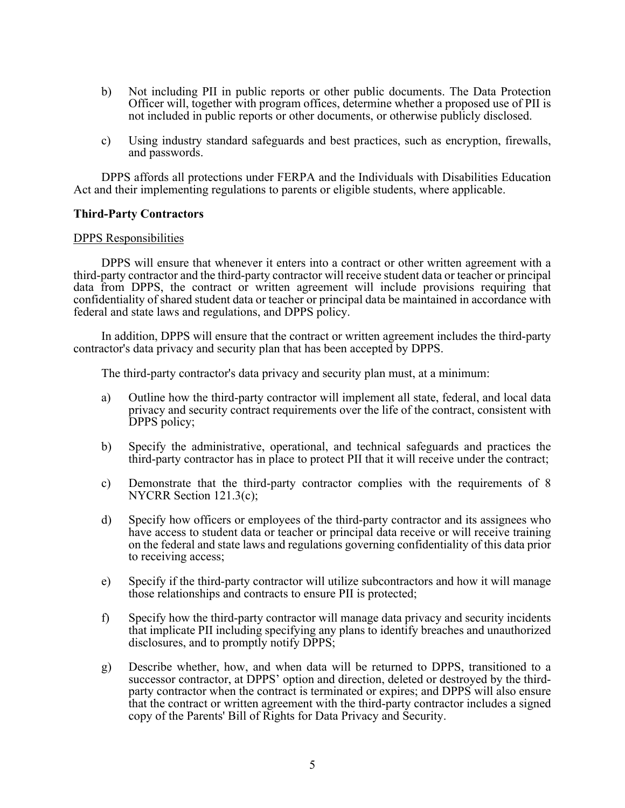- b) Not including PII in public reports or other public documents. The Data Protection Officer will, together with program offices, determine whether a proposed use of PII is not included in public reports or other documents, or otherwise publicly disclosed.
- c) Using industry standard safeguards and best practices, such as encryption, firewalls, and passwords.

DPPS affords all protections under FERPA and the Individuals with Disabilities Education Act and their implementing regulations to parents or eligible students, where applicable.

## **Third-Party Contractors**

### DPPS Responsibilities

DPPS will ensure that whenever it enters into a contract or other written agreement with a third-party contractor and the third-party contractor will receive student data or teacher or principal data from DPPS, the contract or written agreement will include provisions requiring that confidentiality of shared student data or teacher or principal data be maintained in accordance with federal and state laws and regulations, and DPPS policy.

In addition, DPPS will ensure that the contract or written agreement includes the third-party contractor's data privacy and security plan that has been accepted by DPPS.

The third-party contractor's data privacy and security plan must, at a minimum:

- a) Outline how the third-party contractor will implement all state, federal, and local data privacy and security contract requirements over the life of the contract, consistent with DPPS policy;
- b) Specify the administrative, operational, and technical safeguards and practices the third-party contractor has in place to protect PII that it will receive under the contract;
- c) Demonstrate that the third-party contractor complies with the requirements of 8 NYCRR Section 121.3(c);
- d) Specify how officers or employees of the third-party contractor and its assignees who have access to student data or teacher or principal data receive or will receive training on the federal and state laws and regulations governing confidentiality of this data prior to receiving access;
- e) Specify if the third-party contractor will utilize subcontractors and how it will manage those relationships and contracts to ensure PII is protected;
- f) Specify how the third-party contractor will manage data privacy and security incidents that implicate PII including specifying any plans to identify breaches and unauthorized disclosures, and to promptly notify DPPS;
- g) Describe whether, how, and when data will be returned to DPPS, transitioned to a successor contractor, at DPPS' option and direction, deleted or destroyed by the third-<br>party contractor when the contract is terminated or expires; and DPPS will also ensure that the contract or written agreement with the third-party contractor includes a signed copy of the Parents' Bill of Rights for Data Privacy and Security.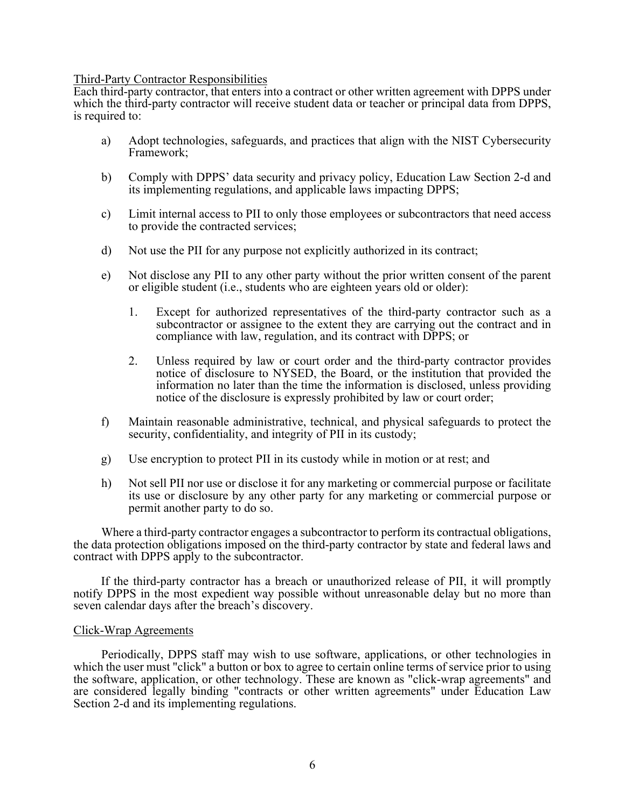## Third-Party Contractor Responsibilities

Each third-party contractor, that enters into a contract or other written agreement with DPPS under which the third-party contractor will receive student data or teacher or principal data from DPPS, is required to:

- a) Adopt technologies, safeguards, and practices that align with the NIST Cybersecurity Framework;
- b) Comply with DPPS' data security and privacy policy, Education Law Section 2-d and its implementing regulations, and applicable laws impacting DPPS;
- c) Limit internal access to PII to only those employees or subcontractors that need access to provide the contracted services;
- d) Not use the PII for any purpose not explicitly authorized in its contract;
- e) Not disclose any PII to any other party without the prior written consent of the parent or eligible student (i.e., students who are eighteen years old or older):
	- 1. Except for authorized representatives of the third-party contractor such as a subcontractor or assignee to the extent they are carrying out the contract and in compliance with law, regulation, and its contract with DPPS; or
	- 2. Unless required by law or court order and the third-party contractor provides notice of disclosure to NYSED, the Board, or the institution that provided the information no later than the time the information is disclosed, unless providing notice of the disclosure is expressly prohibited by law or court order;
- f) Maintain reasonable administrative, technical, and physical safeguards to protect the security, confidentiality, and integrity of PII in its custody;
- g) Use encryption to protect PII in its custody while in motion or at rest; and
- h) Not sell PII nor use or disclose it for any marketing or commercial purpose or facilitate its use or disclosure by any other party for any marketing or commercial purpose or permit another party to do so.

Where a third-party contractor engages a subcontractor to perform its contractual obligations, the data protection obligations imposed on the third-party contractor by state and federal laws and contract with DPPS apply to the subcontractor.

If the third-party contractor has a breach or unauthorized release of PII, it will promptly notify DPPS in the most expedient way possible without unreasonable delay but no more than seven calendar days after the breach's discovery.

### Click-Wrap Agreements

Periodically, DPPS staff may wish to use software, applications, or other technologies in which the user must "click" a button or box to agree to certain online terms of service prior to using the software, application, or other technology. These are known as "click-wrap agreements" and are considered legally binding "contracts or other written agreements" under Education Law Section 2-d and its implementing regulations.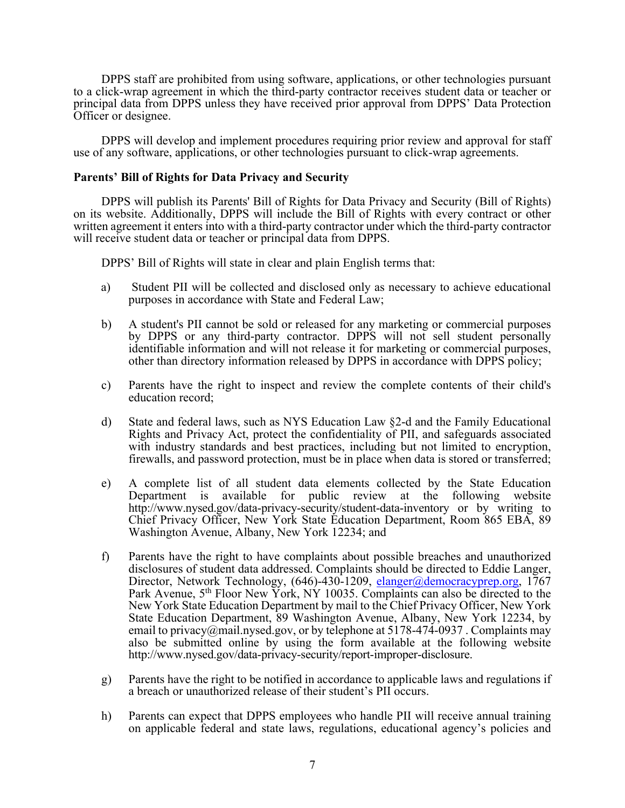DPPS staff are prohibited from using software, applications, or other technologies pursuant to a click-wrap agreement in which the third-party contractor receives student data or teacher or principal data from DPPS unless they have received prior approval from DPPS' Data Protection Officer or designee.

DPPS will develop and implement procedures requiring prior review and approval for staff use of any software, applications, or other technologies pursuant to click-wrap agreements.

# **Parents' Bill of Rights for Data Privacy and Security**

DPPS will publish its Parents' Bill of Rights for Data Privacy and Security (Bill of Rights) on its website. Additionally, DPPS will include the Bill of Rights with every contract or other written agreement it enters into with a third-party contractor under which the third-party contractor will receive student data or teacher or principal data from DPPS.

DPPS' Bill of Rights will state in clear and plain English terms that:

- a) Student PII will be collected and disclosed only as necessary to achieve educational purposes in accordance with State and Federal Law;
- b) A student's PII cannot be sold or released for any marketing or commercial purposes by DPPS or any third-party contractor. DPPS will not sell student personally identifiable information and will not release it for marketing or commercial purposes, other than directory information released by DPPS in accordance with DPPS policy;
- c) Parents have the right to inspect and review the complete contents of their child's education record;
- d) State and federal laws, such as NYS Education Law §2-d and the Family Educational Rights and Privacy Act, protect the confidentiality of PII, and safeguards associated with industry standards and best practices, including but not limited to encryption, firewalls, and password protection, must be in place when data is stored or transferred;
- e) A complete list of all student data elements collected by the State Education Department is available for public review at the following website http://www.nysed.gov/data-privacy-security/student-data-inventory or by writing to Chief Privacy Officer, New York State Education Department, Room 865 EBA, 89 Washington Avenue, Albany, New York 12234; and
- f) Parents have the right to have complaints about possible breaches and unauthorized disclosures of student data addressed. Complaints should be directed to Eddie Langer, Director, Network Technology, (646)-430-1209, elanger@democracyprep.org, 1767 Park Avenue, 5<sup>th</sup> Floor New York, NY 10035. Complaints can also be directed to the New York State Education Department by mail to the Chief Privacy Officer, New York State Education Department, 89 Washington Avenue, Albany, New York 12234, by email to privacy@mail.nysed.gov, or by telephone at  $5178-474-0937$ . Complaints may also be submitted online by using the form available at the following website http://www.nysed.gov/data-privacy-security/report-improper-disclosure.
- g) Parents have the right to be notified in accordance to applicable laws and regulations if a breach or unauthorized release of their student's PII occurs.
- h) Parents can expect that DPPS employees who handle PII will receive annual training on applicable federal and state laws, regulations, educational agency's policies and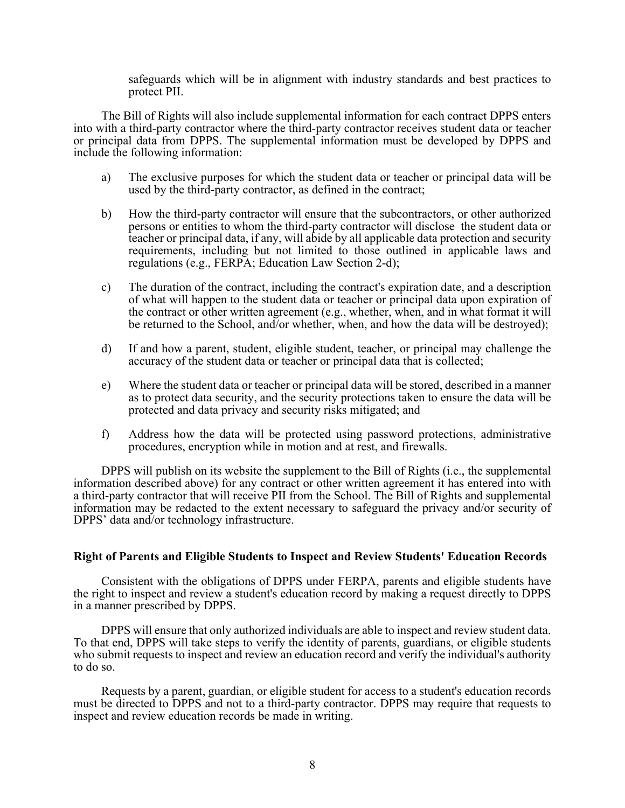safeguards which will be in alignment with industry standards and best practices to protect PII.

The Bill of Rights will also include supplemental information for each contract DPPS enters into with a third-party contractor where the third-party contractor receives student data or teacher or principal data from DPPS. The supplemental information must be developed by DPPS and include the following information:

- a) The exclusive purposes for which the student data or teacher or principal data will be used by the third-party contractor, as defined in the contract;
- b) How the third-party contractor will ensure that the subcontractors, or other authorized persons or entities to whom the third-party contractor will disclose the student data or teacher or principal data, if any, will abide by all applicable data protection and security requirements, including but not limited to those outlined in applicable laws and regulations (e.g., FERPA; Education Law Section 2-d);
- c) The duration of the contract, including the contract's expiration date, and a description of what will happen to the student data or teacher or principal data upon expiration of the contract or other written agreement (e.g., whether, when, and in what format it will be returned to the School, and/or whether, when, and how the data will be destroyed);
- d) If and how a parent, student, eligible student, teacher, or principal may challenge the accuracy of the student data or teacher or principal data that is collected;
- e) Where the student data or teacher or principal data will be stored, described in a manner as to protect data security, and the security protections taken to ensure the data will be protected and data privacy and security risks mitigated; and
- f) Address how the data will be protected using password protections, administrative procedures, encryption while in motion and at rest, and firewalls.

DPPS will publish on its website the supplement to the Bill of Rights (i.e., the supplemental information described above) for any contract or other written agreement it has entered into with a third-party contractor that will receive PII from the School. The Bill of Rights and supplemental information may be redacted to the extent necessary to safeguard the privacy and/or security of DPPS' data and/or technology infrastructure.

### **Right of Parents and Eligible Students to Inspect and Review Students' Education Records**

Consistent with the obligations of DPPS under FERPA, parents and eligible students have the right to inspect and review a student's education record by making a request directly to DPPS in a manner prescribed by DPPS.

DPPS will ensure that only authorized individuals are able to inspect and review student data. To that end, DPPS will take steps to verify the identity of parents, guardians, or eligible students who submit requests to inspect and review an education record and verify the individual's authority to do so.

Requests by a parent, guardian, or eligible student for access to a student's education records must be directed to DPPS and not to a third-party contractor. DPPS may require that requests to inspect and review education records be made in writing.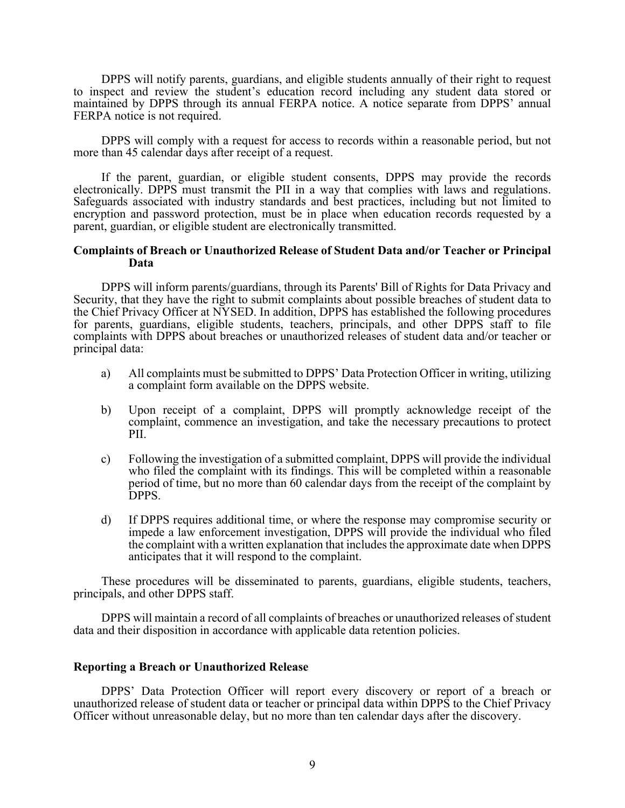DPPS will notify parents, guardians, and eligible students annually of their right to request to inspect and review the student's education record including any student data stored or maintained by DPPS through its annual FERPA notice. A notice separate from DPPS' annual FERPA notice is not required.

DPPS will comply with a request for access to records within a reasonable period, but not more than 45 calendar days after receipt of a request.

If the parent, guardian, or eligible student consents, DPPS may provide the records electronically. DPPS must transmit the PII in a way that complies with laws and regulations. Safeguards associated with industry standards and best practices, including but not limited to encryption and password protection, must be in place when education records requested by a parent, guardian, or eligible student are electronically transmitted.

## **Complaints of Breach or Unauthorized Release of Student Data and/or Teacher or Principal Data**

DPPS will inform parents/guardians, through its Parents' Bill of Rights for Data Privacy and Security, that they have the right to submit complaints about possible breaches of student data to the Chief Privacy Officer at NYSED. In addition, DPPS has established the following procedures for parents, guardians, eligible students, teachers, principals, and other DPPS staff to file complaints with DPPS about breaches or unauthorized releases of student data and/or teacher or principal data:

- a) All complaints must be submitted to DPPS' Data Protection Officer in writing, utilizing a complaint form available on the DPPS website.
- b) Upon receipt of a complaint, DPPS will promptly acknowledge receipt of the complaint, commence an investigation, and take the necessary precautions to protect PII.
- c) Following the investigation of a submitted complaint, DPPS will provide the individual who filed the complaint with its findings. This will be completed within a reasonable period of time, but no more than 60 calendar days from the receipt of the complaint by DPPS.
- d) If DPPS requires additional time, or where the response may compromise security or impede a law enforcement investigation, DPPS will provide the individual who filed the complaint with a written explanation that includes the approximate date when DPPS anticipates that it will respond to the complaint.

These procedures will be disseminated to parents, guardians, eligible students, teachers, principals, and other DPPS staff.

DPPS will maintain a record of all complaints of breaches or unauthorized releases of student data and their disposition in accordance with applicable data retention policies.

### **Reporting a Breach or Unauthorized Release**

DPPS' Data Protection Officer will report every discovery or report of a breach or unauthorized release of student data or teacher or principal data within DPPS to the Chief Privacy Officer without unreasonable delay, but no more than ten calendar days after the discovery.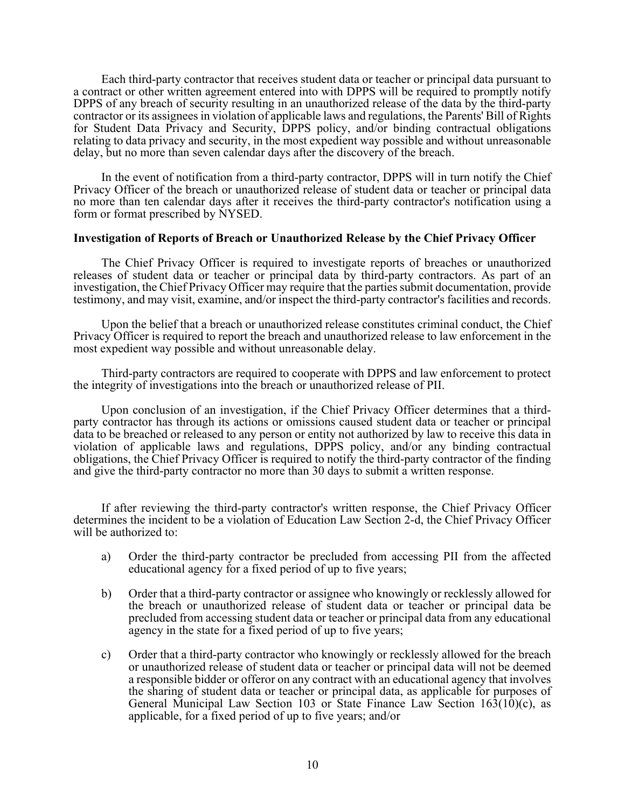Each third-party contractor that receives student data or teacher or principal data pursuant to a contract or other written agreement entered into with DPPS will be required to promptly notify DPPS of any breach of security resulting in an unauthorized release of the data by the third-party contractor or its assignees in violation of applicable laws and regulations, the Parents' Bill of Rights for Student Data Privacy and Security, DPPS policy, and/or binding contractual obligations relating to data privacy and security, in the most expedient way possible and without unreasonable delay, but no more than seven calendar days after the discovery of the breach.

In the event of notification from a third-party contractor, DPPS will in turn notify the Chief Privacy Officer of the breach or unauthorized release of student data or teacher or principal data no more than ten calendar days after it receives the third-party contractor's notification using a form or format prescribed by NYSED.

## **Investigation of Reports of Breach or Unauthorized Release by the Chief Privacy Officer**

The Chief Privacy Officer is required to investigate reports of breaches or unauthorized releases of student data or teacher or principal data by third-party contractors. As part of an investigation, the Chief Privacy Officer may require that the parties submit documentation, provide testimony, and may visit, examine, and/or inspect the third-party contractor's facilities and records.

Upon the belief that a breach or unauthorized release constitutes criminal conduct, the Chief Privacy Officer is required to report the breach and unauthorized release to law enforcement in the most expedient way possible and without unreasonable delay.

Third-party contractors are required to cooperate with DPPS and law enforcement to protect the integrity of investigations into the breach or unauthorized release of PII.

Upon conclusion of an investigation, if the Chief Privacy Officer determines that a third- party contractor has through its actions or omissions caused student data or teacher or principal data to be breached or released to any person or entity not authorized by law to receive this data in violation of applicable laws and regulations, DPPS policy, and/or any binding contractual obligations, the Chief Privacy Officer is required to notify the third-party contractor of the finding and give the third-party contractor no more than 30 days to submit a written response.

If after reviewing the third-party contractor's written response, the Chief Privacy Officer determines the incident to be a violation of Education Law Section 2-d, the Chief Privacy Officer will be authorized to:

- a) Order the third-party contractor be precluded from accessing PII from the affected educational agency for a fixed period of up to five years;
- b) Order that a third-party contractor or assignee who knowingly or recklessly allowed for the breach or unauthorized release of student data or teacher or principal data be precluded from accessing student data or teacher or principal data from any educational agency in the state for a fixed period of up to five years;
- c) Order that a third-party contractor who knowingly or recklessly allowed for the breach or unauthorized release of student data or teacher or principal data will not be deemed a responsible bidder or offeror on any contract with an educational agency that involves the sharing of student data or teacher or principal data, as applicable for purposes of General Municipal Law Section 103 or State Finance Law Section 163(10)(c), as applicable, for a fixed period of up to five years; and/or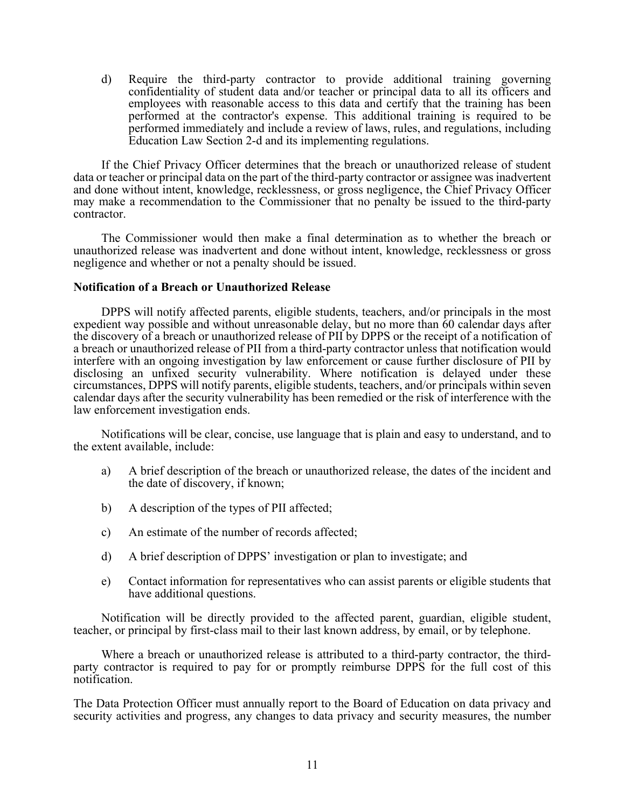d) Require the third-party contractor to provide additional training governing confidentiality of student data and/or teacher or principal data to all its officers and employees with reasonable access to this data and certify that the training has been performed at the contractor's expense. This additional training is required to be performed immediately and include a review of laws, rules, and regulations, including Education Law Section 2-d and its implementing regulations.

If the Chief Privacy Officer determines that the breach or unauthorized release of student data or teacher or principal data on the part of the third-party contractor or assignee was inadvertent and done without intent, knowledge, recklessness, or gross negligence, the Chief Privacy Officer may make a recommendation to the Commissioner that no penalty be issued to the third-party contractor.

The Commissioner would then make a final determination as to whether the breach or unauthorized release was inadvertent and done without intent, knowledge, recklessness or gross negligence and whether or not a penalty should be issued.

# **Notification of a Breach or Unauthorized Release**

DPPS will notify affected parents, eligible students, teachers, and/or principals in the most expedient way possible and without unreasonable delay, but no more than 60 calendar days after the discovery of a breach or unauthorized release of PII by DPPS or the receipt of a notification of a breach or unauthorized release of PII from a third-party contractor unless that notification would interfere with an ongoing investigation by law enforcement or cause further disclosure of PII by disclosing an unfixed security vulnerability. Where notification is delayed under these circumstances, DPPS will notify parents, eligible students, teachers, and/or principals within seven calendar days after the security vulnerability has been remedied or the risk of interference with the law enforcement investigation ends.

Notifications will be clear, concise, use language that is plain and easy to understand, and to the extent available, include:

- a) A brief description of the breach or unauthorized release, the dates of the incident and the date of discovery, if known;
- b) A description of the types of PII affected;
- c) An estimate of the number of records affected;
- d) A brief description of DPPS' investigation or plan to investigate; and
- e) Contact information for representatives who can assist parents or eligible students that have additional questions.

Notification will be directly provided to the affected parent, guardian, eligible student, teacher, or principal by first-class mail to their last known address, by email, or by telephone.

Where a breach or unauthorized release is attributed to a third-party contractor, the third-<br>party contractor is required to pay for or promptly reimburse DPPS for the full cost of this notification.

The Data Protection Officer must annually report to the Board of Education on data privacy and security activities and progress, any changes to data privacy and security measures, the number